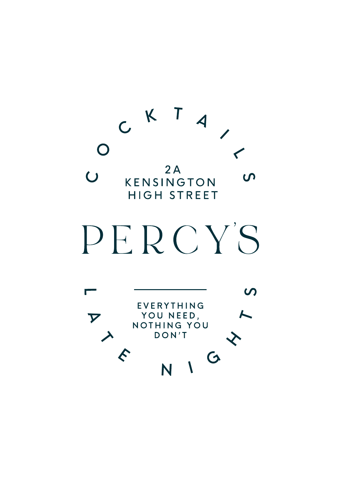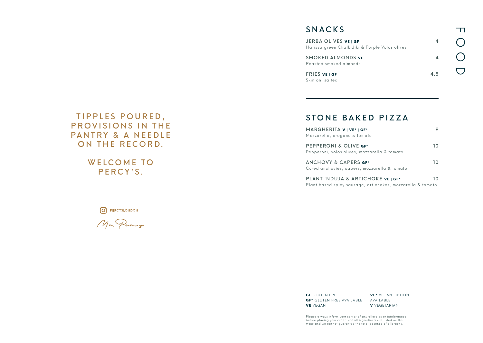### SNACKS

| <b>JERBA OLIVES VEIGF</b><br>Harissa green Chalkidiki & Purple Volos olives |     |  |
|-----------------------------------------------------------------------------|-----|--|
| <b>SMOKED ALMONDS VE</b><br>Roasted smoked almonds                          |     |  |
| <b>FRIES VEIGF</b><br>Skin on, salted                                       | 4.5 |  |

FOOD

 $\overline{O}$ 

 $\bigcirc$ 

 $\blacksquare$ 

#### TIPPLES POURED, PROVISIONS IN THE PANTRY & A NEEDLE ON THE RECORD.

WELCOME TO PERCY'S.

#### STONE BAKED PIZZA

| MARGHERITA VIVE*IGF*<br>Mozzarella, oregano & tomato                                            |    |
|-------------------------------------------------------------------------------------------------|----|
| PEPPERONI & OLIVE GF*<br>Pepperoni, volos olives, mozzarella & tomato                           | 10 |
| <b>ANCHOVY &amp; CAPERS GF*</b><br>Cured anchovies, capers, mozzarella & tomato                 | 10 |
| PLANT 'NDUJA & ARTICHOKE VE   GF*<br>Plant based spicy sausage, artichokes, mozzarella & tomato | 10 |

O PERCYSLONDON

Mr. Percy

GF GLUTEN FREE GF\* GLUTEN FREE AVAILABLE AVAILABLE VE VEGAN VE\* VEGAN OPTION

V VEGETARIAN

Please always inform your ser ver of any allergies or intolerances before placing your order. not all ingredients are listed on the menu and we cannot guarantee the total absence of allergens.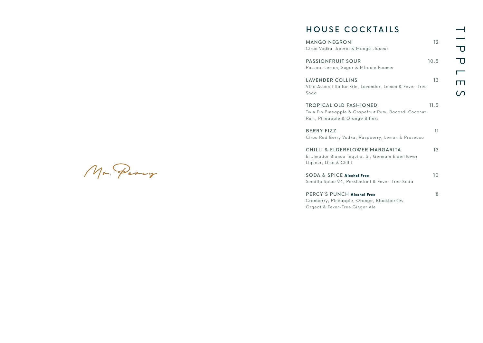# HOUSE COCKTAILS

| <b>MANGO NEGRONI</b><br>Ciroc Vodka, Aperol & Mango Liqueur                                                              | 12       |
|--------------------------------------------------------------------------------------------------------------------------|----------|
| <b>PASSIONFRUIT SOUR</b><br>Passoa, Lemon, Sugar & Miracle Foamer                                                        | 10.5     |
| LAVENDER COLLINS<br>Villa Ascenti Italian Gin, Lavender, Lemon & Fever-Tree<br>Soda                                      | 13       |
| <b>TROPICAL OLD FASHIONED</b><br>Twin Fin Pineapple & Grapefruit Rum, Bacardi Coconut<br>Rum, Pineapple & Orange Bitters | 11.5     |
| <b>BERRY FIZZ</b><br>Ciroc Red Berry Vodka, Raspberry, Lemon & Prosecco                                                  | 11       |
| CHILLI & ELDERFLOWER MARGARITA<br>El Jimador Blanco Tequila, St. Germain Elderflower<br>Liqueur, Lime & Chilli           | 13       |
| <b>SODA &amp; SPICE Alcohol Free</b><br>Seedlip Spice 94, Passionfruit & Fever-Tree Soda                                 | $10^{-}$ |
| PERCY'S PUNCH Alcohol Free<br>Cranberry, Pineapple, Orange, Blackberries,<br>Orgeat & Fever-Tree Ginger Ale              | 8        |

Mr. Percy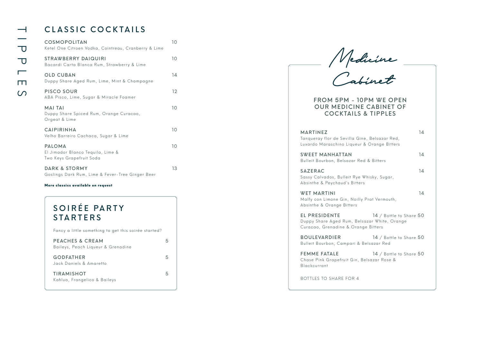## CLASSIC COCKTAILS

| <b>COSMOPOLITAN</b><br>Ketel One Citroen Vodka, Cointreau, Cranberry & Lime    | 10 |
|--------------------------------------------------------------------------------|----|
| STRAWBERRY DAIQUIRI<br>Bacardi Carta Blanca Rum, Strawberry & Lime             | 10 |
| <b>OLD CUBAN</b><br>Duppy Share Aged Rum, Lime, Mint & Champagne               | 14 |
| PISCO SOUR<br>ABA Pisco, Lime, Sugar & Miracle Foamer                          | 12 |
| <b>MAI TAI</b><br>Duppy Share Spiced Rum, Orange Curacao,<br>Orgeat & Lime     | 10 |
| <b>CAIPIRINHA</b><br>Velho Barreiro Cachaca, Sugar & Lime                      | 10 |
| <b>PALOMA</b><br>El Jimador Blanco Tequila, Lime &<br>Two Keys Grapefruit Soda | 10 |
| <b>DARK &amp; STORMY</b><br>Goslings Dark Rum, Lime & Fever-Tree Ginger Beer   | 13 |

#### More classics available on request

| SOIRÉE PARTY<br><b>STARTERS</b>                                  |   |
|------------------------------------------------------------------|---|
| Fancy a little something to get this soirée started?             |   |
| <b>PEACHES &amp; CREAM</b><br>Baileys, Peach Liqueur & Grenadine | h |
| <b>GODFATHER</b><br>Jack Daniels & Amaretto                      | 5 |
| <b>TIRAMISHOT</b><br>Kahlua, Frangelico & Baileys                |   |

**Medicine**

**Cabinet**

FROM 5PM - 10PM WE OPEN OUR MEDICINE CABINET OF COCKTAILS & TIPPLES

| <b>MARTINEZ</b><br>Tanqueray flor de Sevilla Gine, Belsazar Red,<br>Luxardo Maraschino Liqueur & Orange Bitters |                         | 14 |
|-----------------------------------------------------------------------------------------------------------------|-------------------------|----|
| <b>SWEET MANHATTAN</b><br>Bulleit Bourbon, Belsazar Red & Bitters                                               |                         | 14 |
| <b>SAZERAC</b><br>Sassy Calvados, Bulleit Rye Whisky, Sugar,<br>Absinthe & Peychaud's Bitters                   |                         | 14 |
| <b>WET MARTINI</b><br>Malfy con Limone Gin, Noilly Prat Vermouth,<br>Absinthe & Orange Bitters                  |                         | 14 |
| <b>EL PRESIDENTE</b><br>Duppy Share Aged Rum, Belsazar White, Orange<br>Curacao, Grenadine & Orange Bitters     | 14 / Bottle to Share 50 |    |
| <b>BOULEVARDIER</b><br>Bulleit Bourbon, Campari & Belsazar Red                                                  | 14 / Bottle to Share 50 |    |
| <b>FEMME FATALE</b><br>Chase Pink Grapefruit Gin, Belsazar Rose &<br>Blackcurrant                               | 14 / Bottle to Share 50 |    |
| <b>BOTTLES TO SHARE FOR 4</b>                                                                                   |                         |    |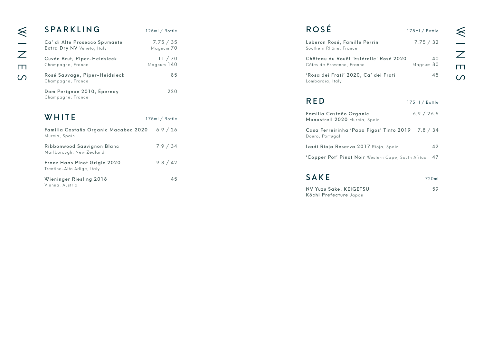# SPARKLING 125ml / Bottle

| Ca' di Alte Prosecco Spumante                              | 7.75 / 35             |
|------------------------------------------------------------|-----------------------|
| <b>Extra Dry NV</b> Veneto, Italy                          | Magnum 70             |
| Cuvée Brut, Piper-Heidsieck<br>Champagne, France           | 11 / 70<br>Magnum 140 |
| Rosé Sauvage, Piper-Heidsieck<br>Champagne, France         | 85                    |
| Dom Perignon 2010, Epernay<br>Champagne, France            | 220                   |
|                                                            |                       |
| WHITE                                                      | 175ml / Bottle        |
| Familia Castaño Organic Macabeo 2020<br>Murcia, Spain      | 6.9 / 26              |
| Ribbonwood Sauvignon Blanc<br>Marlborough, New Zealand     | 7.9 / 34              |
| Franz Haas Pinot Grigio 2020<br>Trentino-Alto Adige, Italy | 9.8 / 42              |

Wieninger Riesling 2018 15 Vienna, Austria

| <b>ROSÉ</b>                                                          | 175ml / Bottle  |
|----------------------------------------------------------------------|-----------------|
| Luberon Rosé, Famille Perrin<br>Southern Rhône, France               | 7.75 / 32       |
| Château du Rouët 'Estérelle' Rosé 2020<br>Côtes de Provence, France  | 40<br>Magnum 80 |
| 'Rosa dei Frati' 2020, Ca' dei Frati<br>Lombardia, Italy             | 45              |
| <b>RED</b>                                                           | 175ml / Bottle  |
| Familia Castaño Organic<br>Monastrell 2020 Murcia, Spain             | 6.9 / 26.5      |
| Casa Ferreirinha 'Papa Figos' Tinto 2019 7.8 / 34<br>Douro, Portugal |                 |
| Izadi Rioja Reserva 2017 Rioja, Spain                                | 42              |
| 'Copper Pot' Pinot Noir Western Cape, South Africa                   | 47              |

| SAKE                                             | 720ml |
|--------------------------------------------------|-------|
| NV Yuzu Sake, KEIGETSU<br>Köchi Prefecture Japan | 59    |

 $\frac{\&}{Z}$ WINES  $\overline{\mathbf{m}}$ 

 $\circ$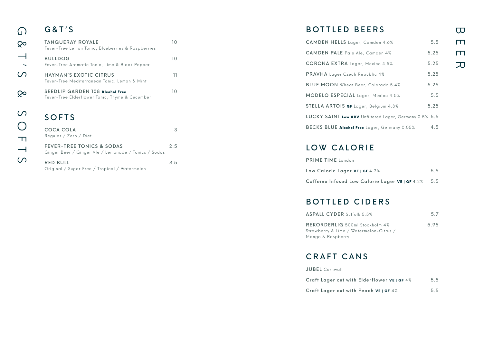G&T' S

| <b>TANQUERAY ROYALE</b><br>Fever-Tree Lemon Tonic, Blueberries & Raspberries             | 10 |
|------------------------------------------------------------------------------------------|----|
| <b>BULLDOG</b><br>Fever-Tree Aromatic Tonic, Lime & Black Pepper                         | 10 |
| HAYMAN'S EXOTIC CITRUS<br>Fever-Tree Mediterranean Tonic, Lemon & Mint                   | 11 |
| <b>SEEDLIP GARDEN 108 Alcohol Free</b><br>Fever-Tree Elderflower Tonic, Thyme & Cucumber | 10 |
| <b>SOFTS</b>                                                                             |    |
| COCA COLA<br>Regular / Zero / Diet                                                       | З  |
| FFVFR-TRFF TONICS & SODAS                                                                | 25 |

|                                                           | .   |
|-----------------------------------------------------------|-----|
| Ginger Beer / Ginger Ale / Lemonade / Tonics / Sodas      |     |
| RED BULL<br>Original / Sugar Free / Tropical / Watermelon | 3.5 |
|                                                           |     |

#### BOTTLED BEERS

| <b>CAMDEN HELLS</b> Lager, Camden 4.6%                 | 5.5  |  |
|--------------------------------------------------------|------|--|
| <b>CAMDEN PALE</b> Pale Ale, Camden 4%                 | 5.25 |  |
| <b>CORONA EXTRA</b> Lager, Mexico 4.5%                 | 5.25 |  |
| PRAVHA Lager Czech Republic 4%                         | 5.25 |  |
| BLUE MOON Wheat Beer, Colorado 5.4%                    | 5.25 |  |
| MODELO ESPECIAL Lager, Mexico 4.5%                     | 5.5  |  |
| STELLA ARTOIS GF Lager, Belgium 4.8%                   | 5.25 |  |
| LUCKY SAINT Low ABV Unfiltered Lager, Germany 0.5% 5.5 |      |  |
| BECKS BLUE Alcohol Free Lager, Germany 0.05%           | 4.5  |  |

#### LOW CALORIE

| <b>PRIME TIME</b> London                                |     |
|---------------------------------------------------------|-----|
| Low Calorie Lager $VE$   GF 4.2%                        | 5.5 |
| Caffeine Infused Low Calorie Lager $VE$   GF 4.2% $5.5$ |     |

## BOTTLED CIDERS

| <b>ASPALL CYDER Suffolk 5.5%</b>                                                               | 57   |
|------------------------------------------------------------------------------------------------|------|
| REKORDERLIG 500ml Stockholm 4%<br>Strawberry & Lime / Watermelon-Citrus /<br>Mango & Raspberry | 5.95 |
|                                                                                                |      |

#### CRAFT CANS

JUBEL Cornwall

| Craft Lager cut with Elderflower $VE$ (GF 4%)  | 5.5 |
|------------------------------------------------|-----|
| Craft Lager cut with Peach $VE \mid GF \, 4\%$ | 5.5 |

BEER

G&T'S & SOFTS  $\Omega$  $\bigcirc$  $\Box$  $\overline{\phantom{0}}$ 

 $\circ$ 

 $\infty$ 

 $\Omega$ 

 $\infty$  $\overline{\phantom{0}}$  $\sim$  $\circ$